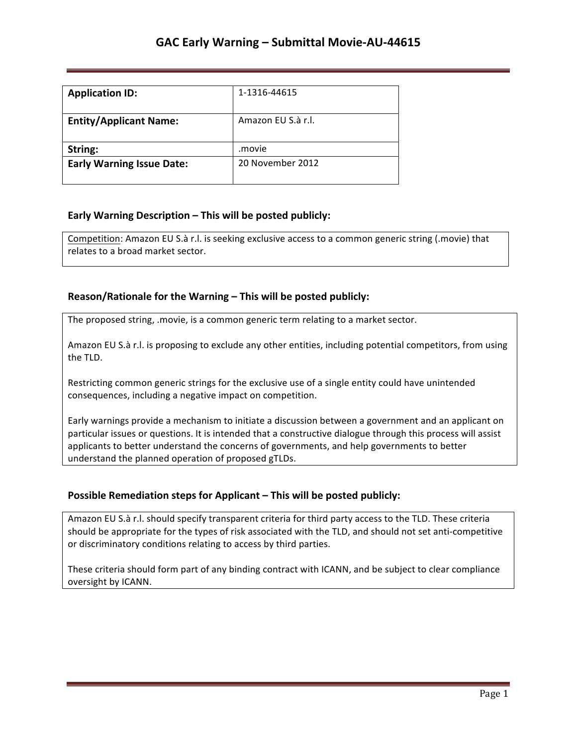| <b>Application ID:</b>           | 1-1316-44615       |
|----------------------------------|--------------------|
| <b>Entity/Applicant Name:</b>    | Amazon EU S.à r.l. |
| String:                          | .movie             |
| <b>Early Warning Issue Date:</b> | 20 November 2012   |

## **Early Warning Description – This will be posted publicly:**

Competition: Amazon EU S.à r.l. is seeking exclusive access to a common generic string (.movie) that relates to a broad market sector.

#### **Reason/Rationale for the Warning – This will be posted publicly:**

The proposed string, .movie, is a common generic term relating to a market sector.

Amazon EU S.à r.l. is proposing to exclude any other entities, including potential competitors, from using the TLD.

Restricting common generic strings for the exclusive use of a single entity could have unintended consequences, including a negative impact on competition.

Early warnings provide a mechanism to initiate a discussion between a government and an applicant on particular issues or questions. It is intended that a constructive dialogue through this process will assist applicants to better understand the concerns of governments, and help governments to better understand the planned operation of proposed gTLDs.

## **Possible Remediation steps for Applicant - This will be posted publicly:**

Amazon EU S.à r.l. should specify transparent criteria for third party access to the TLD. These criteria should be appropriate for the types of risk associated with the TLD, and should not set anti-competitive or discriminatory conditions relating to access by third parties.

These criteria should form part of any binding contract with ICANN, and be subject to clear compliance oversight by ICANN.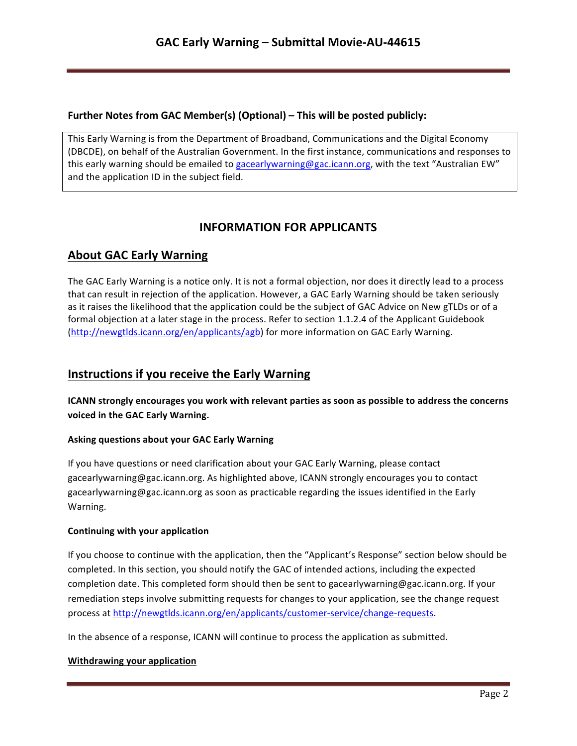## **Further Notes from GAC Member(s) (Optional) – This will be posted publicly:**

This Early Warning is from the Department of Broadband, Communications and the Digital Economy (DBCDE), on behalf of the Australian Government. In the first instance, communications and responses to this early warning should be emailed to gacearlywarning@gac.icann.org, with the text "Australian EW" and the application ID in the subject field.

# **INFORMATION FOR APPLICANTS**

# **About GAC Early Warning**

The GAC Early Warning is a notice only. It is not a formal objection, nor does it directly lead to a process that can result in rejection of the application. However, a GAC Early Warning should be taken seriously as it raises the likelihood that the application could be the subject of GAC Advice on New gTLDs or of a formal objection at a later stage in the process. Refer to section 1.1.2.4 of the Applicant Guidebook (http://newgtlds.icann.org/en/applicants/agb) for more information on GAC Early Warning.

## **Instructions if you receive the Early Warning**

**ICANN** strongly encourages you work with relevant parties as soon as possible to address the concerns voiced in the GAC Early Warning.

## **Asking questions about your GAC Early Warning**

If you have questions or need clarification about your GAC Early Warning, please contact gacearlywarning@gac.icann.org. As highlighted above, ICANN strongly encourages you to contact gacearlywarning@gac.icann.org as soon as practicable regarding the issues identified in the Early Warning. 

#### **Continuing with your application**

If you choose to continue with the application, then the "Applicant's Response" section below should be completed. In this section, you should notify the GAC of intended actions, including the expected completion date. This completed form should then be sent to gacearlywarning@gac.icann.org. If your remediation steps involve submitting requests for changes to your application, see the change request process at http://newgtlds.icann.org/en/applicants/customer-service/change-requests.

In the absence of a response, ICANN will continue to process the application as submitted.

#### **Withdrawing your application**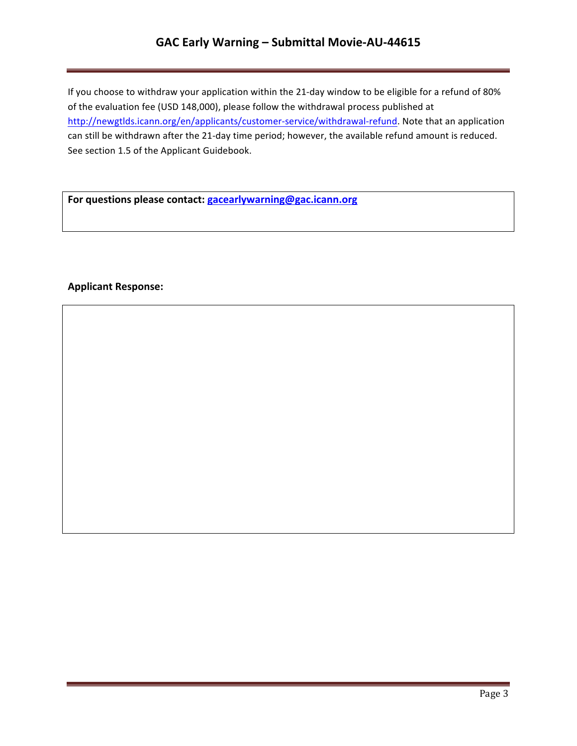## GAC Early Warning - Submittal Movie-AU-44615

If you choose to withdraw your application within the 21-day window to be eligible for a refund of 80% of the evaluation fee (USD 148,000), please follow the withdrawal process published at http://newgtlds.icann.org/en/applicants/customer-service/withdrawal-refund. Note that an application can still be withdrawn after the 21-day time period; however, the available refund amount is reduced. See section 1.5 of the Applicant Guidebook.

For questions please contact: **gacearlywarning@gac.icann.org** 

#### **Applicant Response:**